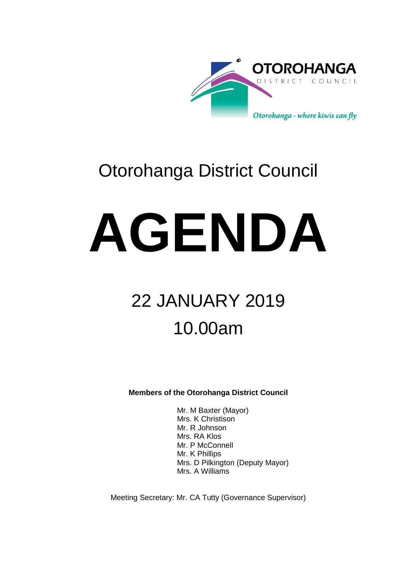

## Otorohanga District Council

# **AGENDA**

## 22 JANUARY 2019 10.00am

**Members of the Otorohanga District Council**

Mr. M Baxter (Mayor) Mrs. K Christison Mr. R Johnson Mrs. RA Klos Mr. P McConnell Mr. K Phillips Mrs. D Pilkington (Deputy Mayor) Mrs. A Williams

Meeting Secretary: Mr. CA Tutty (Governance Supervisor)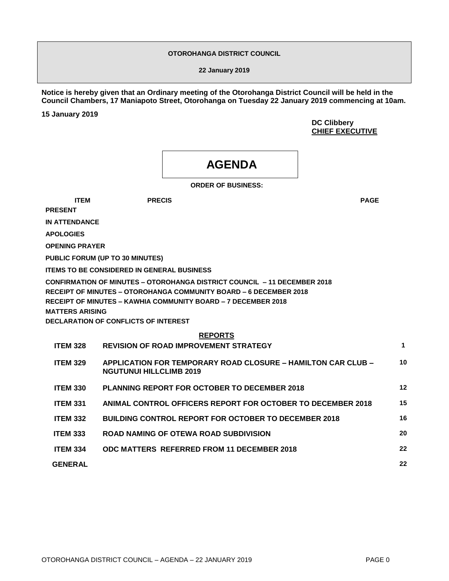#### **OTOROHANGA DISTRICT COUNCIL**

**22 January 2019**

**Notice is hereby given that an Ordinary meeting of the Otorohanga District Council will be held in the Council Chambers, 17 Maniapoto Street, Otorohanga on Tuesday 22 January 2019 commencing at 10am.** 

**15 January 2019**

**DC Clibbery CHIEF EXECUTIVE**

### **AGENDA**

**ORDER OF BUSINESS:**

**ITEM PRECIS PAGE**

**PRESENT**

**IN ATTENDANCE**

**APOLOGIES**

**OPENING PRAYER**

**PUBLIC FORUM (UP TO 30 MINUTES)**

**ITEMS TO BE CONSIDERED IN GENERAL BUSINESS**

**CONFIRMATION OF MINUTES – OTOROHANGA DISTRICT COUNCIL – 11 DECEMBER 2018 RECEIPT OF MINUTES – OTOROHANGA COMMUNITY BOARD – 6 DECEMBER 2018 RECEIPT OF MINUTES – KAWHIA COMMUNITY BOARD – 7 DECEMBER 2018 MATTERS ARISING DECLARATION OF CONFLICTS OF INTEREST**

#### **REPORTS**

| <b>ITEM 328</b> | <b>REVISION OF ROAD IMPROVEMENT STRATEGY</b>                                                          | 1  |
|-----------------|-------------------------------------------------------------------------------------------------------|----|
| <b>ITEM 329</b> | <b>APPLICATION FOR TEMPORARY ROAD CLOSURE – HAMILTON CAR CLUB –</b><br><b>NGUTUNUI HILLCLIMB 2019</b> | 10 |
| <b>ITEM 330</b> | <b>PLANNING REPORT FOR OCTOBER TO DECEMBER 2018</b>                                                   | 12 |
| <b>ITEM 331</b> | ANIMAL CONTROL OFFICERS REPORT FOR OCTOBER TO DECEMBER 2018                                           | 15 |
| <b>ITEM 332</b> | <b>BUILDING CONTROL REPORT FOR OCTOBER TO DECEMBER 2018</b>                                           | 16 |
| <b>ITEM 333</b> | ROAD NAMING OF OTEWA ROAD SUBDIVISION                                                                 | 20 |
| <b>ITEM 334</b> | ODC MATTERS REFERRED FROM 11 DECEMBER 2018                                                            | 22 |
| <b>GENERAL</b>  |                                                                                                       | 22 |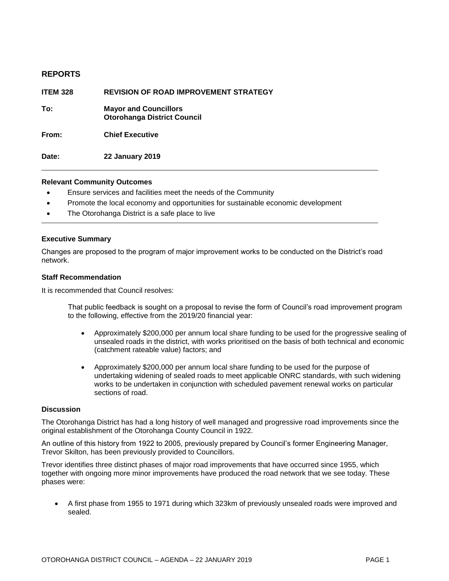#### **REPORTS**

| <b>ITEM 328</b> | <b>REVISION OF ROAD IMPROVEMENT STRATEGY</b>                       |
|-----------------|--------------------------------------------------------------------|
| To:             | <b>Mayor and Councillors</b><br><b>Otorohanga District Council</b> |
| From:           | <b>Chief Executive</b>                                             |
| Date:           | <b>22 January 2019</b>                                             |

#### **Relevant Community Outcomes**

- Ensure services and facilities meet the needs of the Community
- Promote the local economy and opportunities for sustainable economic development
- The Otorohanga District is a safe place to live

#### **Executive Summary**

Changes are proposed to the program of major improvement works to be conducted on the District's road network.

#### **Staff Recommendation**

It is recommended that Council resolves:

That public feedback is sought on a proposal to revise the form of Council's road improvement program to the following, effective from the 2019/20 financial year:

- Approximately \$200,000 per annum local share funding to be used for the progressive sealing of unsealed roads in the district, with works prioritised on the basis of both technical and economic (catchment rateable value) factors; and
- Approximately \$200,000 per annum local share funding to be used for the purpose of undertaking widening of sealed roads to meet applicable ONRC standards, with such widening works to be undertaken in conjunction with scheduled pavement renewal works on particular sections of road.

#### **Discussion**

The Otorohanga District has had a long history of well managed and progressive road improvements since the original establishment of the Otorohanga County Council in 1922.

An outline of this history from 1922 to 2005, previously prepared by Council's former Engineering Manager, Trevor Skilton, has been previously provided to Councillors.

Trevor identifies three distinct phases of major road improvements that have occurred since 1955, which together with ongoing more minor improvements have produced the road network that we see today. These phases were:

 A first phase from 1955 to 1971 during which 323km of previously unsealed roads were improved and sealed.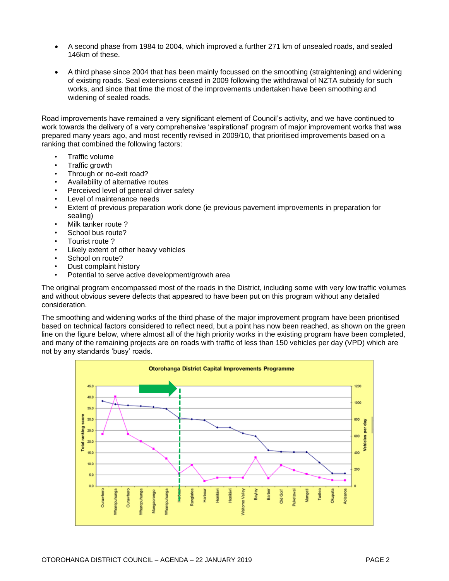- A second phase from 1984 to 2004, which improved a further 271 km of unsealed roads, and sealed 146km of these.
- A third phase since 2004 that has been mainly focussed on the smoothing (straightening) and widening of existing roads. Seal extensions ceased in 2009 following the withdrawal of NZTA subsidy for such works, and since that time the most of the improvements undertaken have been smoothing and widening of sealed roads.

Road improvements have remained a very significant element of Council's activity, and we have continued to work towards the delivery of a very comprehensive 'aspirational' program of major improvement works that was prepared many years ago, and most recently revised in 2009/10, that prioritised improvements based on a ranking that combined the following factors:

- Traffic volume
- Traffic growth
- Through or no-exit road?
- Availability of alternative routes
- Perceived level of general driver safety
- Level of maintenance needs
- Extent of previous preparation work done (ie previous pavement improvements in preparation for sealing)
- Milk tanker route?
- School bus route?
- Tourist route ?
- Likely extent of other heavy vehicles
- School on route?
- Dust complaint history
- Potential to serve active development/growth area

The original program encompassed most of the roads in the District, including some with very low traffic volumes and without obvious severe defects that appeared to have been put on this program without any detailed consideration.

The smoothing and widening works of the third phase of the major improvement program have been prioritised based on technical factors considered to reflect need, but a point has now been reached, as shown on the green line on the figure below, where almost all of the high priority works in the existing program have been completed, and many of the remaining projects are on roads with traffic of less than 150 vehicles per day (VPD) which are not by any standards 'busy' roads.

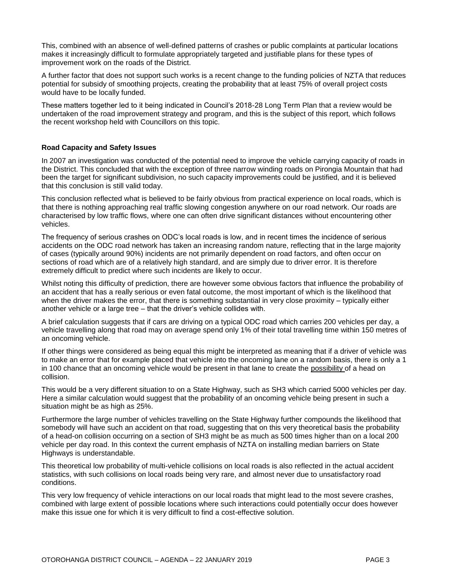This, combined with an absence of well-defined patterns of crashes or public complaints at particular locations makes it increasingly difficult to formulate appropriately targeted and justifiable plans for these types of improvement work on the roads of the District.

A further factor that does not support such works is a recent change to the funding policies of NZTA that reduces potential for subsidy of smoothing projects, creating the probability that at least 75% of overall project costs would have to be locally funded.

These matters together led to it being indicated in Council's 2018-28 Long Term Plan that a review would be undertaken of the road improvement strategy and program, and this is the subject of this report, which follows the recent workshop held with Councillors on this topic.

#### **Road Capacity and Safety Issues**

In 2007 an investigation was conducted of the potential need to improve the vehicle carrying capacity of roads in the District. This concluded that with the exception of three narrow winding roads on Pirongia Mountain that had been the target for significant subdivision, no such capacity improvements could be justified, and it is believed that this conclusion is still valid today.

This conclusion reflected what is believed to be fairly obvious from practical experience on local roads, which is that there is nothing approaching real traffic slowing congestion anywhere on our road network. Our roads are characterised by low traffic flows, where one can often drive significant distances without encountering other vehicles.

The frequency of serious crashes on ODC's local roads is low, and in recent times the incidence of serious accidents on the ODC road network has taken an increasing random nature, reflecting that in the large majority of cases (typically around 90%) incidents are not primarily dependent on road factors, and often occur on sections of road which are of a relatively high standard, and are simply due to driver error. It is therefore extremely difficult to predict where such incidents are likely to occur.

Whilst noting this difficulty of prediction, there are however some obvious factors that influence the probability of an accident that has a really serious or even fatal outcome, the most important of which is the likelihood that when the driver makes the error, that there is something substantial in very close proximity – typically either another vehicle or a large tree – that the driver's vehicle collides with.

A brief calculation suggests that if cars are driving on a typical ODC road which carries 200 vehicles per day, a vehicle travelling along that road may on average spend only 1% of their total travelling time within 150 metres of an oncoming vehicle.

If other things were considered as being equal this might be interpreted as meaning that if a driver of vehicle was to make an error that for example placed that vehicle into the oncoming lane on a random basis, there is only a 1 in 100 chance that an oncoming vehicle would be present in that lane to create the possibility of a head on collision.

This would be a very different situation to on a State Highway, such as SH3 which carried 5000 vehicles per day. Here a similar calculation would suggest that the probability of an oncoming vehicle being present in such a situation might be as high as 25%.

Furthermore the large number of vehicles travelling on the State Highway further compounds the likelihood that somebody will have such an accident on that road, suggesting that on this very theoretical basis the probability of a head-on collision occurring on a section of SH3 might be as much as 500 times higher than on a local 200 vehicle per day road. In this context the current emphasis of NZTA on installing median barriers on State Highways is understandable.

This theoretical low probability of multi-vehicle collisions on local roads is also reflected in the actual accident statistics, with such collisions on local roads being very rare, and almost never due to unsatisfactory road conditions.

This very low frequency of vehicle interactions on our local roads that might lead to the most severe crashes, combined with large extent of possible locations where such interactions could potentially occur does however make this issue one for which it is very difficult to find a cost-effective solution.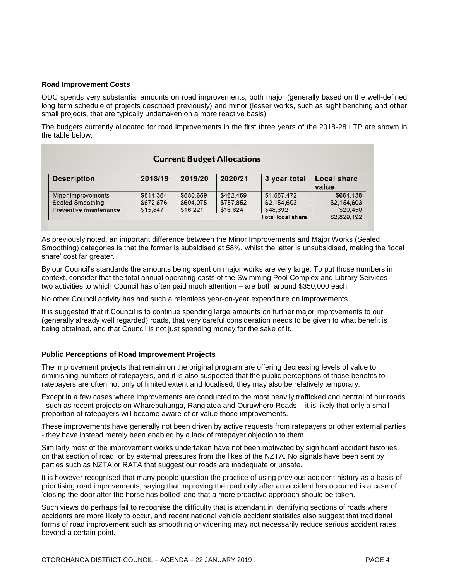#### **Road Improvement Costs**

ODC spends very substantial amounts on road improvements, both major (generally based on the well-defined long term schedule of projects described previously) and minor (lesser works, such as sight benching and other small projects, that are typically undertaken on a more reactive basis).

The budgets currently allocated for road improvements in the first three years of the 2018-28 LTP are shown in the table below.

| <b>Current Budget Allocations</b> |           |           |           |                   |                      |  |
|-----------------------------------|-----------|-----------|-----------|-------------------|----------------------|--|
| <b>Description</b>                | 2018/19   | 2019/20   | 2020/21   | 3 year total      | Local share<br>value |  |
| Minor improvements                | \$514,354 | \$580,659 | \$462,459 | \$1,557,472       | \$654,138            |  |
| Sealed Smoothing                  | \$672,676 | \$694,075 | \$787,852 | \$2,154,603       | \$2,154,603          |  |
| Preventive maintenance            | \$15,847  | \$16,221  | \$16,624  | \$48,692          | \$20,450             |  |
|                                   |           |           |           | Total local share | \$2,829,192          |  |

As previously noted, an important difference between the Minor Improvements and Major Works (Sealed Smoothing) categories is that the former is subsidised at 58%, whilst the latter is unsubsidised, making the 'local share' cost far greater.

By our Council's standards the amounts being spent on major works are very large. To put those numbers in context, consider that the total annual operating costs of the Swimming Pool Complex and Library Services – two activities to which Council has often paid much attention – are both around \$350,000 each.

No other Council activity has had such a relentless year-on-year expenditure on improvements.

It is suggested that if Council is to continue spending large amounts on further major improvements to our (generally already well regarded) roads, that very careful consideration needs to be given to what benefit is being obtained, and that Council is not just spending money for the sake of it.

#### **Public Perceptions of Road Improvement Projects**

The improvement projects that remain on the original program are offering decreasing levels of value to diminishing numbers of ratepayers, and it is also suspected that the public perceptions of those benefits to ratepayers are often not only of limited extent and localised, they may also be relatively temporary.

Except in a few cases where improvements are conducted to the most heavily trafficked and central of our roads - such as recent projects on Wharepuhunga, Rangiatea and Ouruwhero Roads – it is likely that only a small proportion of ratepayers will become aware of or value those improvements.

These improvements have generally not been driven by active requests from ratepayers or other external parties - they have instead merely been enabled by a lack of ratepayer objection to them.

Similarly most of the improvement works undertaken have not been motivated by significant accident histories on that section of road, or by external pressures from the likes of the NZTA. No signals have been sent by parties such as NZTA or RATA that suggest our roads are inadequate or unsafe.

It is however recognised that many people question the practice of using previous accident history as a basis of prioritising road improvements, saying that improving the road only after an accident has occurred is a case of 'closing the door after the horse has bolted' and that a more proactive approach should be taken.

Such views do perhaps fail to recognise the difficulty that is attendant in identifying sections of roads where accidents are more likely to occur, and recent national vehicle accident statistics also suggest that traditional forms of road improvement such as smoothing or widening may not necessarily reduce serious accident rates beyond a certain point.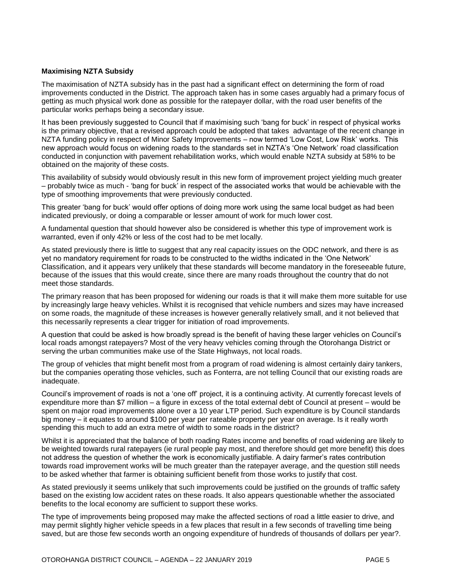#### **Maximising NZTA Subsidy**

The maximisation of NZTA subsidy has in the past had a significant effect on determining the form of road improvements conducted in the District. The approach taken has in some cases arguably had a primary focus of getting as much physical work done as possible for the ratepayer dollar, with the road user benefits of the particular works perhaps being a secondary issue.

It has been previously suggested to Council that if maximising such 'bang for buck' in respect of physical works is the primary objective, that a revised approach could be adopted that takes advantage of the recent change in NZTA funding policy in respect of Minor Safety Improvements – now termed 'Low Cost, Low Risk' works. This new approach would focus on widening roads to the standards set in NZTA's 'One Network' road classification conducted in conjunction with pavement rehabilitation works, which would enable NZTA subsidy at 58% to be obtained on the majority of these costs.

This availability of subsidy would obviously result in this new form of improvement project yielding much greater – probably twice as much - 'bang for buck' in respect of the associated works that would be achievable with the type of smoothing improvements that were previously conducted.

This greater 'bang for buck' would offer options of doing more work using the same local budget as had been indicated previously, or doing a comparable or lesser amount of work for much lower cost.

A fundamental question that should however also be considered is whether this type of improvement work is warranted, even if only 42% or less of the cost had to be met locally.

As stated previously there is little to suggest that any real capacity issues on the ODC network, and there is as yet no mandatory requirement for roads to be constructed to the widths indicated in the 'One Network' Classification, and it appears very unlikely that these standards will become mandatory in the foreseeable future, because of the issues that this would create, since there are many roads throughout the country that do not meet those standards.

The primary reason that has been proposed for widening our roads is that it will make them more suitable for use by increasingly large heavy vehicles. Whilst it is recognised that vehicle numbers and sizes may have increased on some roads, the magnitude of these increases is however generally relatively small, and it not believed that this necessarily represents a clear trigger for initiation of road improvements.

A question that could be asked is how broadly spread is the benefit of having these larger vehicles on Council's local roads amongst ratepayers? Most of the very heavy vehicles coming through the Otorohanga District or serving the urban communities make use of the State Highways, not local roads.

The group of vehicles that might benefit most from a program of road widening is almost certainly dairy tankers, but the companies operating those vehicles, such as Fonterra, are not telling Council that our existing roads are inadequate.

Council's improvement of roads is not a 'one off' project, it is a continuing activity. At currently forecast levels of expenditure more than \$7 million – a figure in excess of the total external debt of Council at present – would be spent on major road improvements alone over a 10 year LTP period. Such expenditure is by Council standards big money – it equates to around \$100 per year per rateable property per year on average. Is it really worth spending this much to add an extra metre of width to some roads in the district?

Whilst it is appreciated that the balance of both roading Rates income and benefits of road widening are likely to be weighted towards rural ratepayers (ie rural people pay most, and therefore should get more benefit) this does not address the question of whether the work is economically justifiable. A dairy farmer's rates contribution towards road improvement works will be much greater than the ratepayer average, and the question still needs to be asked whether that farmer is obtaining sufficient benefit from those works to justify that cost.

As stated previously it seems unlikely that such improvements could be justified on the grounds of traffic safety based on the existing low accident rates on these roads. It also appears questionable whether the associated benefits to the local economy are sufficient to support these works.

The type of improvements being proposed may make the affected sections of road a little easier to drive, and may permit slightly higher vehicle speeds in a few places that result in a few seconds of travelling time being saved, but are those few seconds worth an ongoing expenditure of hundreds of thousands of dollars per year?.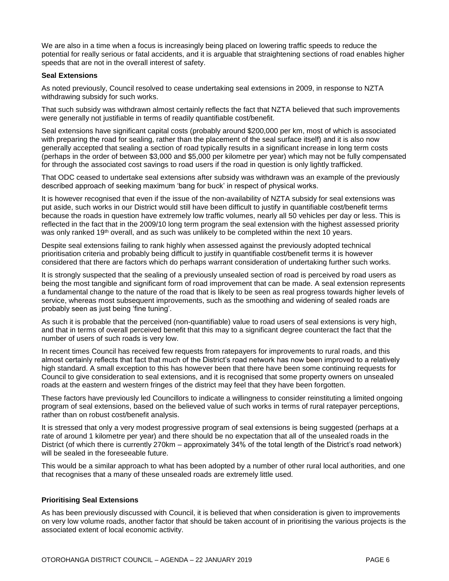We are also in a time when a focus is increasingly being placed on lowering traffic speeds to reduce the potential for really serious or fatal accidents, and it is arguable that straightening sections of road enables higher speeds that are not in the overall interest of safety.

#### **Seal Extensions**

As noted previously, Council resolved to cease undertaking seal extensions in 2009, in response to NZTA withdrawing subsidy for such works.

That such subsidy was withdrawn almost certainly reflects the fact that NZTA believed that such improvements were generally not justifiable in terms of readily quantifiable cost/benefit.

Seal extensions have significant capital costs (probably around \$200,000 per km, most of which is associated with preparing the road for sealing, rather than the placement of the seal surface itself) and it is also now generally accepted that sealing a section of road typically results in a significant increase in long term costs (perhaps in the order of between \$3,000 and \$5,000 per kilometre per year) which may not be fully compensated for through the associated cost savings to road users if the road in question is only lightly trafficked.

That ODC ceased to undertake seal extensions after subsidy was withdrawn was an example of the previously described approach of seeking maximum 'bang for buck' in respect of physical works.

It is however recognised that even if the issue of the non-availability of NZTA subsidy for seal extensions was put aside, such works in our District would still have been difficult to justify in quantifiable cost/benefit terms because the roads in question have extremely low traffic volumes, nearly all 50 vehicles per day or less. This is reflected in the fact that in the 2009/10 long term program the seal extension with the highest assessed priority was only ranked 19<sup>th</sup> overall, and as such was unlikely to be completed within the next 10 years.

Despite seal extensions failing to rank highly when assessed against the previously adopted technical prioritisation criteria and probably being difficult to justify in quantifiable cost/benefit terms it is however considered that there are factors which do perhaps warrant consideration of undertaking further such works.

It is strongly suspected that the sealing of a previously unsealed section of road is perceived by road users as being the most tangible and significant form of road improvement that can be made. A seal extension represents a fundamental change to the nature of the road that is likely to be seen as real progress towards higher levels of service, whereas most subsequent improvements, such as the smoothing and widening of sealed roads are probably seen as just being 'fine tuning'.

As such it is probable that the perceived (non-quantifiable) value to road users of seal extensions is very high, and that in terms of overall perceived benefit that this may to a significant degree counteract the fact that the number of users of such roads is very low.

In recent times Council has received few requests from ratepayers for improvements to rural roads, and this almost certainly reflects that fact that much of the District's road network has now been improved to a relatively high standard. A small exception to this has however been that there have been some continuing requests for Council to give consideration to seal extensions, and it is recognised that some property owners on unsealed roads at the eastern and western fringes of the district may feel that they have been forgotten.

These factors have previously led Councillors to indicate a willingness to consider reinstituting a limited ongoing program of seal extensions, based on the believed value of such works in terms of rural ratepayer perceptions, rather than on robust cost/benefit analysis.

It is stressed that only a very modest progressive program of seal extensions is being suggested (perhaps at a rate of around 1 kilometre per year) and there should be no expectation that all of the unsealed roads in the District (of which there is currently 270km – approximately 34% of the total length of the District's road network) will be sealed in the foreseeable future.

This would be a similar approach to what has been adopted by a number of other rural local authorities, and one that recognises that a many of these unsealed roads are extremely little used.

#### **Prioritising Seal Extensions**

As has been previously discussed with Council, it is believed that when consideration is given to improvements on very low volume roads, another factor that should be taken account of in prioritising the various projects is the associated extent of local economic activity.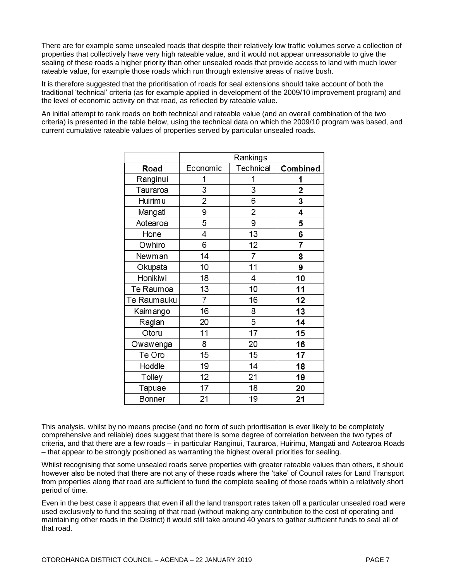There are for example some unsealed roads that despite their relatively low traffic volumes serve a collection of properties that collectively have very high rateable value, and it would not appear unreasonable to give the sealing of these roads a higher priority than other unsealed roads that provide access to land with much lower rateable value, for example those roads which run through extensive areas of native bush.

It is therefore suggested that the prioritisation of roads for seal extensions should take account of both the traditional 'technical' criteria (as for example applied in development of the 2009/10 improvement program) and the level of economic activity on that road, as reflected by rateable value.

An initial attempt to rank roads on both technical and rateable value (and an overall combination of the two criteria) is presented in the table below, using the technical data on which the 2009/10 program was based, and current cumulative rateable values of properties served by particular unsealed roads.

|               | Rankings       |                |          |
|---------------|----------------|----------------|----------|
| Road          | Economic       | Technical      | Combined |
| Ranginui      | 1              | 1              | 1        |
| Tauraroa      | 3              | 3              | 2        |
| Huirim u      | 2              | 6              | 3        |
| Mangati       | 9              | 2              | 4        |
| Aotearoa      | 5              | 9              | 5        |
| Hone          | 4              | 13             | 6        |
| Owhiro        | 6              | 12             | 7        |
| Newman        | 14             | $\overline{7}$ | 8        |
| Okupata       | 10             | 11             | 9        |
| Honikiwi      | 18             | 4              | 10       |
| Te Raumoa     | 13             | 10             | 11       |
| Te Raumauku   | $\overline{7}$ | 16             | 12       |
| Kaimango      | 16             | 8              | 13       |
| Raglan        | 20             | 5              | 14       |
| Otoru         | 11             | 17             | 15       |
| Owawenga      | 8              | 20             | 16       |
| Te Oro        | 15             | 15             | 17       |
| Hoddle        | 19             | 14             | 18       |
| Tolley        | 12             | 21             | 19       |
| Tapuae        | 17             | 18             | 20       |
| <b>Bonner</b> | 21             | 19             | 21       |

This analysis, whilst by no means precise (and no form of such prioritisation is ever likely to be completely comprehensive and reliable) does suggest that there is some degree of correlation between the two types of criteria, and that there are a few roads – in particular Ranginui, Tauraroa, Huirimu, Mangati and Aotearoa Roads – that appear to be strongly positioned as warranting the highest overall priorities for sealing.

Whilst recognising that some unsealed roads serve properties with greater rateable values than others, it should however also be noted that there are not any of these roads where the 'take' of Council rates for Land Transport from properties along that road are sufficient to fund the complete sealing of those roads within a relatively short period of time.

Even in the best case it appears that even if all the land transport rates taken off a particular unsealed road were used exclusively to fund the sealing of that road (without making any contribution to the cost of operating and maintaining other roads in the District) it would still take around 40 years to gather sufficient funds to seal all of that road.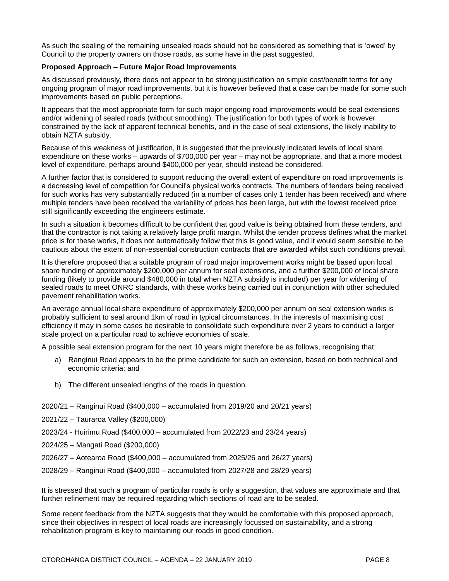As such the sealing of the remaining unsealed roads should not be considered as something that is 'owed' by Council to the property owners on those roads, as some have in the past suggested.

#### **Proposed Approach – Future Major Road Improvements**

As discussed previously, there does not appear to be strong justification on simple cost/benefit terms for any ongoing program of major road improvements, but it is however believed that a case can be made for some such improvements based on public perceptions.

It appears that the most appropriate form for such major ongoing road improvements would be seal extensions and/or widening of sealed roads (without smoothing). The justification for both types of work is however constrained by the lack of apparent technical benefits, and in the case of seal extensions, the likely inability to obtain NZTA subsidy.

Because of this weakness of justification, it is suggested that the previously indicated levels of local share expenditure on these works – upwards of \$700,000 per year – may not be appropriate, and that a more modest level of expenditure, perhaps around \$400,000 per year, should instead be considered.

A further factor that is considered to support reducing the overall extent of expenditure on road improvements is a decreasing level of competition for Council's physical works contracts. The numbers of tenders being received for such works has very substantially reduced (in a number of cases only 1 tender has been received) and where multiple tenders have been received the variability of prices has been large, but with the lowest received price still significantly exceeding the engineers estimate.

In such a situation it becomes difficult to be confident that good value is being obtained from these tenders, and that the contractor is not taking a relatively large profit margin. Whilst the tender process defines what the market price is for these works, it does not automatically follow that this is good value, and it would seem sensible to be cautious about the extent of non-essential construction contracts that are awarded whilst such conditions prevail.

It is therefore proposed that a suitable program of road major improvement works might be based upon local share funding of approximately \$200,000 per annum for seal extensions, and a further \$200,000 of local share funding (likely to provide around \$480,000 in total when NZTA subsidy is included) per year for widening of sealed roads to meet ONRC standards, with these works being carried out in conjunction with other scheduled pavement rehabilitation works.

An average annual local share expenditure of approximately \$200,000 per annum on seal extension works is probably sufficient to seal around 1km of road in typical circumstances. In the interests of maximising cost efficiency it may in some cases be desirable to consolidate such expenditure over 2 years to conduct a larger scale project on a particular road to achieve economies of scale.

A possible seal extension program for the next 10 years might therefore be as follows, recognising that:

- a) Ranginui Road appears to be the prime candidate for such an extension, based on both technical and economic criteria; and
- b) The different unsealed lengths of the roads in question.
- 2020/21 Ranginui Road (\$400,000 accumulated from 2019/20 and 20/21 years)
- 2021/22 Tauraroa Valley (\$200,000)
- 2023/24 Huirimu Road (\$400,000 accumulated from 2022/23 and 23/24 years)
- 2024/25 Mangati Road (\$200,000)
- 2026/27 Aotearoa Road (\$400,000 accumulated from 2025/26 and 26/27 years)
- 2028/29 Ranginui Road (\$400,000 accumulated from 2027/28 and 28/29 years)

It is stressed that such a program of particular roads is only a suggestion, that values are approximate and that further refinement may be required regarding which sections of road are to be sealed.

Some recent feedback from the NZTA suggests that they would be comfortable with this proposed approach, since their objectives in respect of local roads are increasingly focussed on sustainability, and a strong rehabilitation program is key to maintaining our roads in good condition.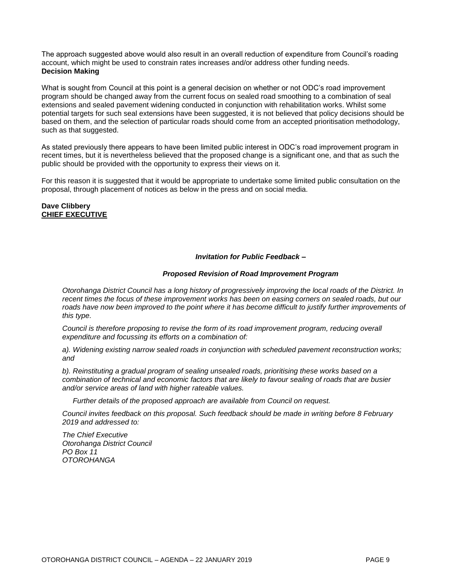The approach suggested above would also result in an overall reduction of expenditure from Council's roading account, which might be used to constrain rates increases and/or address other funding needs. **Decision Making**

What is sought from Council at this point is a general decision on whether or not ODC's road improvement program should be changed away from the current focus on sealed road smoothing to a combination of seal extensions and sealed pavement widening conducted in conjunction with rehabilitation works. Whilst some potential targets for such seal extensions have been suggested, it is not believed that policy decisions should be based on them, and the selection of particular roads should come from an accepted prioritisation methodology, such as that suggested.

As stated previously there appears to have been limited public interest in ODC's road improvement program in recent times, but it is nevertheless believed that the proposed change is a significant one, and that as such the public should be provided with the opportunity to express their views on it.

For this reason it is suggested that it would be appropriate to undertake some limited public consultation on the proposal, through placement of notices as below in the press and on social media.

**Dave Clibbery CHIEF EXECUTIVE**

#### *Invitation for Public Feedback –*

#### *Proposed Revision of Road Improvement Program*

*Otorohanga District Council has a long history of progressively improving the local roads of the District. In recent times the focus of these improvement works has been on easing corners on sealed roads, but our roads have now been improved to the point where it has become difficult to justify further improvements of this type.*

*Council is therefore proposing to revise the form of its road improvement program, reducing overall expenditure and focussing its efforts on a combination of:* 

*a). Widening existing narrow sealed roads in conjunction with scheduled pavement reconstruction works; and*

*b). Reinstituting a gradual program of sealing unsealed roads, prioritising these works based on a combination of technical and economic factors that are likely to favour sealing of roads that are busier and/or service areas of land with higher rateable values.*

*Further details of the proposed approach are available from Council on request.*

*Council invites feedback on this proposal. Such feedback should be made in writing before 8 February 2019 and addressed to:*

*The Chief Executive Otorohanga District Council PO Box 11 OTOROHANGA*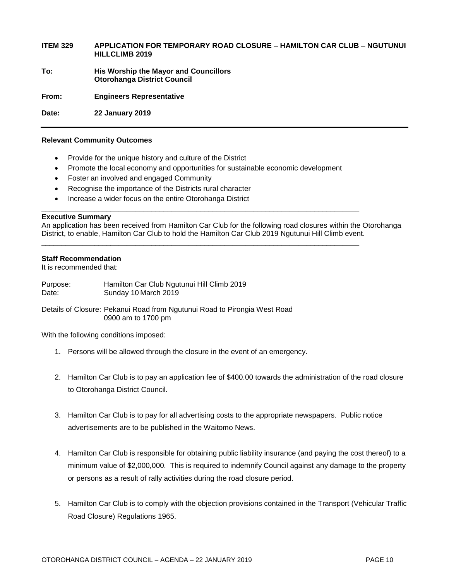#### **ITEM 329 APPLICATION FOR TEMPORARY ROAD CLOSURE – HAMILTON CAR CLUB – NGUTUNUI HILLCLIMB 2019**

**To: His Worship the Mayor and Councillors Otorohanga District Council**

**From: Engineers Representative** 

**Date: 22 January 2019**

#### **Relevant Community Outcomes**

- Provide for the unique history and culture of the District
- Promote the local economy and opportunities for sustainable economic development

\_\_\_\_\_\_\_\_\_\_\_\_\_\_\_\_\_\_\_\_\_\_\_\_\_\_\_\_\_\_\_\_\_\_\_\_\_\_\_\_\_\_\_\_\_\_\_\_\_\_\_\_\_\_\_\_\_\_\_\_\_\_\_\_\_\_\_\_\_\_\_\_\_\_\_\_\_\_

\_\_\_\_\_\_\_\_\_\_\_\_\_\_\_\_\_\_\_\_\_\_\_\_\_\_\_\_\_\_\_\_\_\_\_\_\_\_\_\_\_\_\_\_\_\_\_\_\_\_\_\_\_\_\_\_\_\_\_\_\_\_\_\_\_\_\_\_\_\_\_\_\_\_\_\_\_\_

- Foster an involved and engaged Community
- Recognise the importance of the Districts rural character
- Increase a wider focus on the entire Otorohanga District

#### **Executive Summary**

An application has been received from Hamilton Car Club for the following road closures within the Otorohanga District, to enable, Hamilton Car Club to hold the Hamilton Car Club 2019 Ngutunui Hill Climb event.

#### **Staff Recommendation**

It is recommended that:

| Purpose: | Hamilton Car Club Ngutunui Hill Climb 2019 |
|----------|--------------------------------------------|
| Date:    | Sunday 10 March 2019                       |

Details of Closure: Pekanui Road from Ngutunui Road to Pirongia West Road 0900 am to 1700 pm

With the following conditions imposed:

- 1. Persons will be allowed through the closure in the event of an emergency.
- 2. Hamilton Car Club is to pay an application fee of \$400.00 towards the administration of the road closure to Otorohanga District Council.
- 3. Hamilton Car Club is to pay for all advertising costs to the appropriate newspapers. Public notice advertisements are to be published in the Waitomo News.
- 4. Hamilton Car Club is responsible for obtaining public liability insurance (and paying the cost thereof) to a minimum value of \$2,000,000. This is required to indemnify Council against any damage to the property or persons as a result of rally activities during the road closure period.
- 5. Hamilton Car Club is to comply with the objection provisions contained in the Transport (Vehicular Traffic Road Closure) Regulations 1965.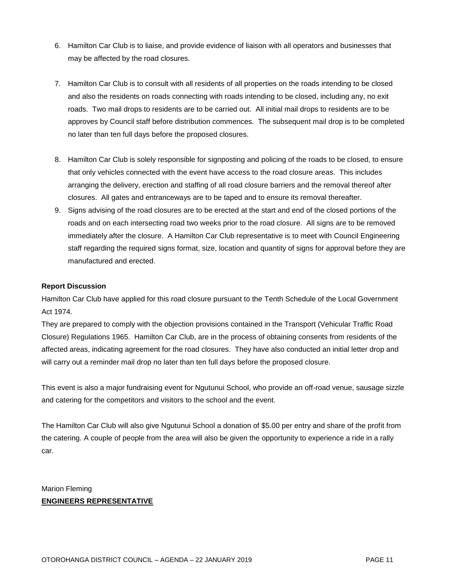- 6. Hamilton Car Club is to liaise, and provide evidence of liaison with all operators and businesses that may be affected by the road closures.
- 7. Hamilton Car Club is to consult with all residents of all properties on the roads intending to be closed and also the residents on roads connecting with roads intending to be closed, including any, no exit roads. Two mail drops to residents are to be carried out. All initial mail drops to residents are to be approves by Council staff before distribution commences. The subsequent mail drop is to be completed no later than ten full days before the proposed closures.
- 8. Hamilton Car Club is solely responsible for signposting and policing of the roads to be closed, to ensure that only vehicles connected with the event have access to the road closure areas. This includes arranging the delivery, erection and staffing of all road closure barriers and the removal thereof after closures. All gates and entranceways are to be taped and to ensure its removal thereafter.
- 9. Signs advising of the road closures are to be erected at the start and end of the closed portions of the roads and on each intersecting road two weeks prior to the road closure. All signs are to be removed immediately after the closure. A Hamilton Car Club representative is to meet with Council Engineering staff regarding the required signs format, size, location and quantity of signs for approval before they are manufactured and erected.

#### **Report Discussion**

Hamilton Car Club have applied for this road closure pursuant to the Tenth Schedule of the Local Government Act 1974.

They are prepared to comply with the objection provisions contained in the Transport (Vehicular Traffic Road Closure) Regulations 1965. Hamilton Car Club, are in the process of obtaining consents from residents of the affected areas, indicating agreement for the road closures. They have also conducted an initial letter drop and will carry out a reminder mail drop no later than ten full days before the proposed closure.

This event is also a major fundraising event for Ngutunui School, who provide an off-road venue, sausage sizzle and catering for the competitors and visitors to the school and the event.

The Hamilton Car Club will also give Ngutunui School a donation of \$5.00 per entry and share of the profit from the catering. A couple of people from the area will also be given the opportunity to experience a ride in a rally car.

#### Marion Fleming **ENGINEERS REPRESENTATIVE**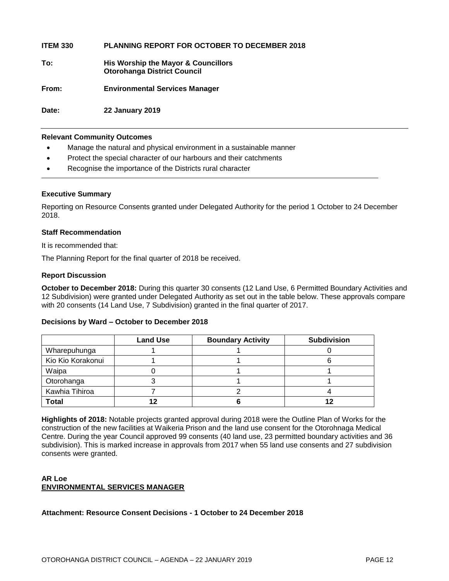**ITEM 330 PLANNING REPORT FOR OCTOBER TO DECEMBER 2018**

**To: His Worship the Mayor & Councillors Otorohanga District Council**

**From: Environmental Services Manager**

**Date: 22 January 2019**

#### **Relevant Community Outcomes**

- Manage the natural and physical environment in a sustainable manner
- Protect the special character of our harbours and their catchments
- Recognise the importance of the Districts rural character

#### **Executive Summary**

Reporting on Resource Consents granted under Delegated Authority for the period 1 October to 24 December 2018.

#### **Staff Recommendation**

It is recommended that:

The Planning Report for the final quarter of 2018 be received.

#### **Report Discussion**

**October to December 2018:** During this quarter 30 consents (12 Land Use, 6 Permitted Boundary Activities and 12 Subdivision) were granted under Delegated Authority as set out in the table below. These approvals compare with 20 consents (14 Land Use, 7 Subdivision) granted in the final quarter of 2017.

#### **Decisions by Ward – October to December 2018**

|                   | <b>Land Use</b> | <b>Boundary Activity</b> | <b>Subdivision</b> |
|-------------------|-----------------|--------------------------|--------------------|
| Wharepuhunga      |                 |                          |                    |
| Kio Kio Korakonui |                 |                          |                    |
| Waipa             |                 |                          |                    |
| Otorohanga        |                 |                          |                    |
| Kawhia Tihiroa    |                 |                          |                    |
| <b>Total</b>      |                 |                          |                    |

**Highlights of 2018:** Notable projects granted approval during 2018 were the Outline Plan of Works for the construction of the new facilities at Waikeria Prison and the land use consent for the Otorohnaga Medical Centre. During the year Council approved 99 consents (40 land use, 23 permitted boundary activities and 36 subdivision). This is marked increase in approvals from 2017 when 55 land use consents and 27 subdivision consents were granted.

#### **AR Loe ENVIRONMENTAL SERVICES MANAGER**

#### **Attachment: Resource Consent Decisions - 1 October to 24 December 2018**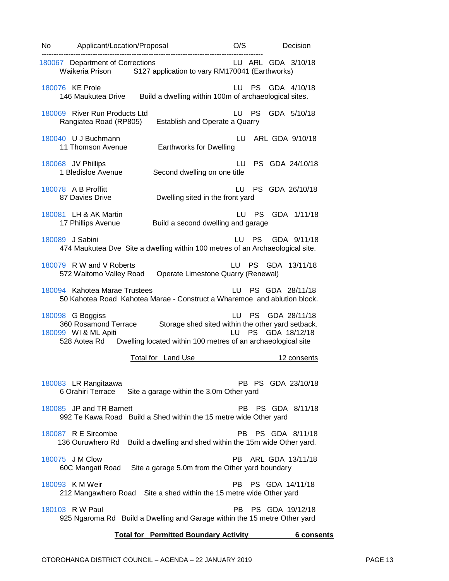| No | Applicant/Location/Proposal                                                                                                                      | O/S                                                                                      | Decision                     |
|----|--------------------------------------------------------------------------------------------------------------------------------------------------|------------------------------------------------------------------------------------------|------------------------------|
|    | 180067 Department of Corrections<br>S127 application to vary RM170041 (Earthworks)<br>Waikeria Prison                                            |                                                                                          | LU ARL GDA 3/10/18           |
|    | 180076 KE Prole<br>Build a dwelling within 100m of archaeological sites.<br>146 Maukutea Drive                                                   | <b>PS</b><br>LU.                                                                         | GDA 4/10/18                  |
|    | 180069 River Run Products Ltd<br>Rangiatea Road (RP805)<br>Establish and Operate a Quarry                                                        | <b>PS</b><br>LU                                                                          | GDA 5/10/18                  |
|    | 180040 U J Buchmann<br>11 Thomson Avenue<br><b>Earthworks for Dwelling</b>                                                                       | LU                                                                                       | ARL GDA 9/10/18              |
|    | 180068 JV Phillips<br>1 Bledisloe Avenue<br>Second dwelling on one title                                                                         | LU.                                                                                      | PS GDA 24/10/18              |
|    | 180078 A B Proffitt<br>87 Davies Drive<br>Dwelling sited in the front yard                                                                       | LU                                                                                       | PS GDA 26/10/18              |
|    | 180081 LH & AK Martin<br>17 Phillips Avenue<br>Build a second dwelling and garage                                                                | LU PS                                                                                    | GDA 1/11/18                  |
|    | 180089 J Sabini<br>474 Maukutea Dve Site a dwelling within 100 metres of an Archaeological site.                                                 | LU PS                                                                                    | GDA 9/11/18                  |
|    | 180079 R W and V Roberts<br>572 Waitomo Valley Road<br>Operate Limestone Quarry (Renewal)                                                        |                                                                                          | LU PS GDA 13/11/18           |
|    | 180094 Kahotea Marae Trustees<br>50 Kahotea Road Kahotea Marae - Construct a Wharemoe and ablution block.                                        | LU –                                                                                     | PS GDA 28/11/18              |
|    | 180098 G Boggiss<br>360 Rosamond Terrace<br>180099 WI & ML Apiti<br>Dwelling located within 100 metres of an archaeological site<br>528 Aotea Rd | LU.<br><b>PS</b><br>Storage shed sited within the other yard setback.<br><b>PS</b><br>LU | GDA 28/11/18<br>GDA 18/12/18 |
|    | <b>Total for Land Use</b>                                                                                                                        |                                                                                          | 12 consents                  |
|    | 180083 LR Rangitaawa<br>6 Orahiri Terrace<br>Site a garage within the 3.0m Other yard                                                            |                                                                                          | PB PS GDA 23/10/18           |
|    | 180085 JP and TR Barnett<br>992 Te Kawa Road Build a Shed within the 15 metre wide Other yard                                                    | PB.                                                                                      | PS GDA 8/11/18               |
|    | 180087 R E Sircombe<br>136 Ouruwhero Rd<br>Build a dwelling and shed within the 15m wide Other yard.                                             | PB.                                                                                      | PS GDA 8/11/18               |
|    | 180075 J M Clow<br>60C Mangati Road<br>Site a garage 5.0m from the Other yard boundary                                                           | PB.                                                                                      | ARL GDA 13/11/18             |
|    | 180093 K M Weir<br>212 Mangawhero Road Site a shed within the 15 metre wide Other yard                                                           |                                                                                          | PB PS GDA 14/11/18           |
|    | 180103 R W Paul<br>925 Ngaroma Rd Build a Dwelling and Garage within the 15 metre Other yard                                                     | PB.                                                                                      | PS GDA 19/12/18              |
|    |                                                                                                                                                  |                                                                                          |                              |

#### **Total for Permitted Boundary Activity 6 consents**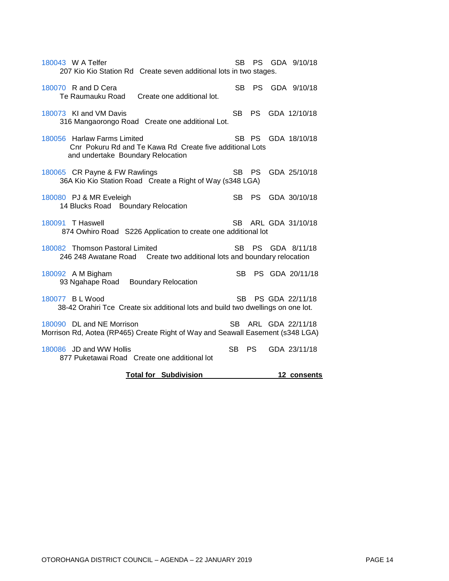| 180043 W A Telfer<br>207 Kio Kio Station Rd Create seven additional lots in two stages.                                      | SB.       | PS -      | GDA 9/10/18      |
|------------------------------------------------------------------------------------------------------------------------------|-----------|-----------|------------------|
| 180070 R and D Cera<br>Te Raumauku Road<br>Create one additional lot.                                                        | SB -      |           | PS GDA 9/10/18   |
| 180073 KI and VM Davis<br>316 Mangaorongo Road Create one additional Lot.                                                    | SB -      | <b>PS</b> | GDA 12/10/18     |
| 180056 Harlaw Farms Limited<br>Cnr Pokuru Rd and Te Kawa Rd Create five additional Lots<br>and undertake Boundary Relocation |           | SB PS     | GDA 18/10/18     |
| 180065 CR Payne & FW Rawlings<br>36A Kio Kio Station Road Create a Right of Way (s348 LGA)                                   | <b>SB</b> | <b>PS</b> | GDA 25/10/18     |
| 180080 PJ & MR Eveleigh<br>14 Blucks Road Boundary Relocation                                                                | SB.       | <b>PS</b> | GDA 30/10/18     |
| 180091 T Haswell<br>874 Owhiro Road S226 Application to create one additional lot                                            | SB -      |           | ARL GDA 31/10/18 |
| 180082 Thomson Pastoral Limited<br>246 248 Awatane Road Create two additional lots and boundary relocation                   | SB.       | <b>PS</b> | GDA 8/11/18      |
| 180092 A M Bigham<br>93 Ngahape Road Boundary Relocation                                                                     | SB.       |           | PS GDA 20/11/18  |
| 180077 BLWood<br>38-42 Orahiri Tce Create six additional lots and build two dwellings on one lot.                            | SB.       |           | PS GDA 22/11/18  |
| 180090 DL and NE Morrison<br>Morrison Rd, Aotea (RP465) Create Right of Way and Seawall Easement (s348 LGA)                  | SB.       |           | ARL GDA 22/11/18 |
| 180086 JD and WW Hollis<br>877 Puketawai Road Create one additional lot                                                      | SB.       | <b>PS</b> | GDA 23/11/18     |
| <b>Total for Subdivision</b>                                                                                                 |           |           | 12 consents      |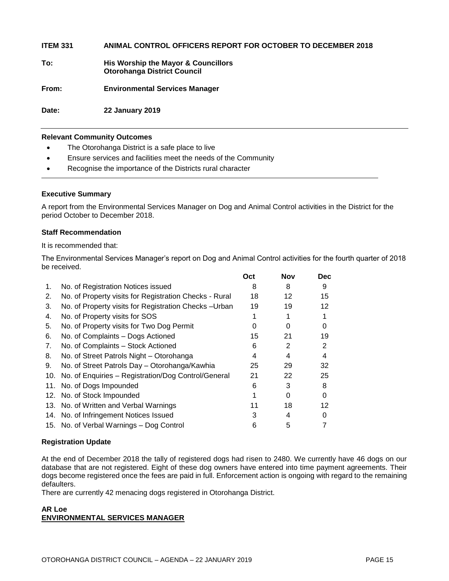**ITEM 331 ANIMAL CONTROL OFFICERS REPORT FOR OCTOBER TO DECEMBER 2018**

**To: His Worship the Mayor & Councillors Otorohanga District Council**

**From: Environmental Services Manager**

**Date: 22 January 2019**

#### **Relevant Community Outcomes**

- The Otorohanga District is a safe place to live
- Ensure services and facilities meet the needs of the Community
- Recognise the importance of the Districts rural character

#### **Executive Summary**

A report from the Environmental Services Manager on Dog and Animal Control activities in the District for the period October to December 2018.

#### **Staff Recommendation**

It is recommended that:

The Environmental Services Manager's report on Dog and Animal Control activities for the fourth quarter of 2018 be received.

|                |                                                        | Oct | Nov | Dec. |
|----------------|--------------------------------------------------------|-----|-----|------|
| 1.             | No. of Registration Notices issued                     | 8   | 8   | 9    |
| 2.             | No. of Property visits for Registration Checks - Rural | 18  | 12  | 15   |
| 3.             | No. of Property visits for Registration Checks - Urban | 19  | 19  | 12   |
| 4.             | No. of Property visits for SOS                         |     |     |      |
| 5.             | No. of Property visits for Two Dog Permit              | 0   |     | 0    |
| 6.             | No. of Complaints – Dogs Actioned                      | 15  | 21  | 19   |
| 7 <sub>1</sub> | No. of Complaints - Stock Actioned                     | 6   | 2   | 2    |
| 8.             | No. of Street Patrols Night - Otorohanga               | 4   | 4   | 4    |
| 9.             | No. of Street Patrols Day - Otorohanga/Kawhia          | 25  | 29  | 32   |
| 10.            | No. of Enquiries - Registration/Dog Control/General    | 21  | 22  | 25   |
| 11.            | No. of Dogs Impounded                                  | 6   | 3   | 8    |
|                | 12. No. of Stock Impounded                             |     | 0   | 0    |
|                | 13. No. of Written and Verbal Warnings                 | 11  | 18  | 12   |
|                | 14. No. of Infringement Notices Issued                 | 3   | 4   | 0    |
|                | 15. No. of Verbal Warnings - Dog Control               | 6   | 5   |      |

#### **Registration Update**

At the end of December 2018 the tally of registered dogs had risen to 2480. We currently have 46 dogs on our database that are not registered. Eight of these dog owners have entered into time payment agreements. Their dogs become registered once the fees are paid in full. Enforcement action is ongoing with regard to the remaining defaulters.

There are currently 42 menacing dogs registered in Otorohanga District.

#### **AR Loe ENVIRONMENTAL SERVICES MANAGER**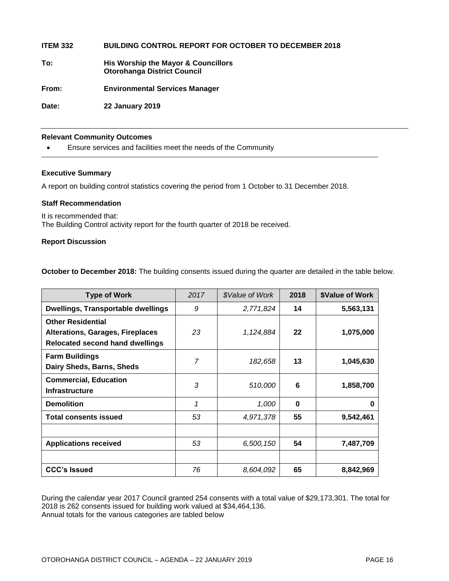**ITEM 332 BUILDING CONTROL REPORT FOR OCTOBER TO DECEMBER 2018**

**To: His Worship the Mayor & Councillors Otorohanga District Council**

**From: Environmental Services Manager**

**Date: 22 January 2019**

#### **Relevant Community Outcomes**

Ensure services and facilities meet the needs of the Community

#### **Executive Summary**

A report on building control statistics covering the period from 1 October to 31 December 2018.

#### **Staff Recommendation**

It is recommended that: The Building Control activity report for the fourth quarter of 2018 be received.

#### **Report Discussion**

**October to December 2018:** The building consents issued during the quarter are detailed in the table below.

| <b>Type of Work</b>                                                                                           | 2017 | \$Value of Work | 2018 | <b>\$Value of Work</b> |
|---------------------------------------------------------------------------------------------------------------|------|-----------------|------|------------------------|
| <b>Dwellings, Transportable dwellings</b>                                                                     | 9    | 2,771,824       | 14   | 5,563,131              |
| <b>Other Residential</b><br><b>Alterations, Garages, Fireplaces</b><br><b>Relocated second hand dwellings</b> | 23   | 1,124,884       | 22   | 1,075,000              |
| <b>Farm Buildings</b><br>Dairy Sheds, Barns, Sheds                                                            | 7    | 182,658         | 13   | 1,045,630              |
| <b>Commercial, Education</b><br><b>Infrastructure</b>                                                         | 3    | 510,000         | 6    | 1,858,700              |
| <b>Demolition</b>                                                                                             | 1    | 1,000           | 0    | 0                      |
| <b>Total consents issued</b>                                                                                  | 53   | 4,971,378       | 55   | 9,542,461              |
|                                                                                                               |      |                 |      |                        |
| <b>Applications received</b>                                                                                  | 53   | 6,500,150       | 54   | 7,487,709              |
|                                                                                                               |      |                 |      |                        |
| <b>CCC's Issued</b>                                                                                           | 76   | 8,604,092       | 65   | 8,842,969              |

During the calendar year 2017 Council granted 254 consents with a total value of \$29,173,301. The total for 2018 is 262 consents issued for building work valued at \$34,464,136. Annual totals for the various categories are tabled below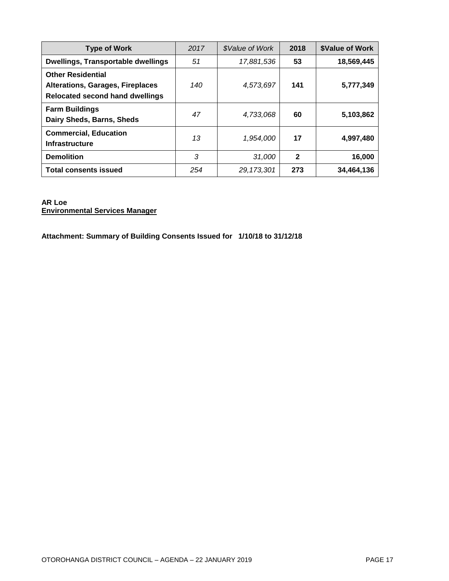| <b>Type of Work</b>                                                                                           | 2017 | <i><b>\$Value of Work</b></i> | 2018         | <b>\$Value of Work</b> |
|---------------------------------------------------------------------------------------------------------------|------|-------------------------------|--------------|------------------------|
| <b>Dwellings, Transportable dwellings</b>                                                                     | 51   | 17,881,536                    | 53           | 18,569,445             |
| <b>Other Residential</b><br><b>Alterations, Garages, Fireplaces</b><br><b>Relocated second hand dwellings</b> | 140  | 4,573,697                     | 141          | 5,777,349              |
| <b>Farm Buildings</b><br>Dairy Sheds, Barns, Sheds                                                            | 47   | 4,733,068                     | 60           | 5,103,862              |
| <b>Commercial, Education</b><br><b>Infrastructure</b>                                                         | 13   | 1,954,000                     | 17           | 4,997,480              |
| <b>Demolition</b>                                                                                             | 3    | 31,000                        | $\mathbf{2}$ | 16,000                 |
| <b>Total consents issued</b>                                                                                  | 254  | 29.173.301                    | 273          | 34,464,136             |

#### **AR Loe Environmental Services Manager**

**Attachment: Summary of Building Consents Issued for 1/10/18 to 31/12/18**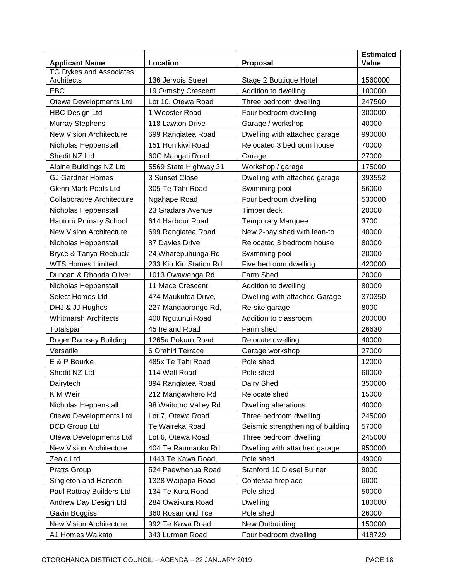| <b>Applicant Name</b>             | Location               | Proposal                          | <b>Estimated</b><br>Value |
|-----------------------------------|------------------------|-----------------------------------|---------------------------|
| <b>TG Dykes and Associates</b>    |                        |                                   |                           |
| Architects                        | 136 Jervois Street     | Stage 2 Boutique Hotel            | 1560000                   |
| <b>EBC</b>                        | 19 Ormsby Crescent     | Addition to dwelling              | 100000                    |
| Otewa Developments Ltd            | Lot 10, Otewa Road     | Three bedroom dwelling            | 247500                    |
| <b>HBC Design Ltd</b>             | 1 Wooster Road         | Four bedroom dwelling             | 300000                    |
| <b>Murray Stephens</b>            | 118 Lawton Drive       | Garage / workshop                 | 40000                     |
| <b>New Vision Architecture</b>    | 699 Rangiatea Road     | Dwelling with attached garage     | 990000                    |
| Nicholas Heppenstall              | 151 Honikiwi Road      | Relocated 3 bedroom house         | 70000                     |
| Shedit NZ Ltd                     | 60C Mangati Road       | Garage                            | 27000                     |
| Alpine Buildings NZ Ltd           | 5569 State Highway 31  | Workshop / garage                 | 175000                    |
| <b>GJ Gardner Homes</b>           | 3 Sunset Close         | Dwelling with attached garage     | 393552                    |
| Glenn Mark Pools Ltd              | 305 Te Tahi Road       | Swimming pool                     | 56000                     |
| <b>Collaborative Architecture</b> | Ngahape Road           | Four bedroom dwelling             | 530000                    |
| Nicholas Heppenstall              | 23 Gradara Avenue      | Timber deck                       | 20000                     |
| Hauturu Primary School            | 614 Harbour Road       | <b>Temporary Marquee</b>          | 3700                      |
| <b>New Vision Architecture</b>    | 699 Rangiatea Road     | New 2-bay shed with lean-to       | 40000                     |
| Nicholas Heppenstall              | 87 Davies Drive        | Relocated 3 bedroom house         | 80000                     |
| Bryce & Tanya Roebuck             | 24 Wharepuhunga Rd     | Swimming pool                     | 20000                     |
| <b>WTS Homes Limited</b>          | 233 Kio Kio Station Rd | Five bedroom dwelling             | 420000                    |
| Duncan & Rhonda Oliver            | 1013 Owawenga Rd       | Farm Shed                         | 20000                     |
| Nicholas Heppenstall              | 11 Mace Crescent       | Addition to dwelling              | 80000                     |
| <b>Select Homes Ltd</b>           | 474 Maukutea Drive,    | Dwelling with attached Garage     | 370350                    |
| DHJ & JJ Hughes                   | 227 Mangaorongo Rd,    | Re-site garage                    | 8000                      |
| <b>Whitmarsh Architects</b>       | 400 Ngutunui Road      | Addition to classroom             | 200000                    |
| Totalspan                         | 45 Ireland Road        | Farm shed                         | 26630                     |
| <b>Roger Ramsey Building</b>      | 1265a Pokuru Road      | Relocate dwelling                 | 40000                     |
| Versatile                         | 6 Orahiri Terrace      | Garage workshop                   | 27000                     |
| E & P Bourke                      | 485x Te Tahi Road      | Pole shed                         | 12000                     |
| Shedit NZ Ltd                     | 114 Wall Road          | Pole shed                         | 60000                     |
| Dairytech                         | 894 Rangiatea Road     | Dairy Shed                        | 350000                    |
| K M Weir                          | 212 Mangawhero Rd      | Relocate shed                     | 15000                     |
| Nicholas Heppenstall              | 98 Waitomo Valley Rd   | Dwelling alterations              | 40000                     |
| Otewa Developments Ltd            | Lot 7, Otewa Road      | Three bedroom dwelling            | 245000                    |
| <b>BCD Group Ltd</b>              | Te Waireka Road        | Seismic strengthening of building | 57000                     |
| Otewa Developments Ltd            | Lot 6, Otewa Road      | Three bedroom dwelling            | 245000                    |
| New Vision Architecture           | 404 Te Raumauku Rd     | Dwelling with attached garage     | 950000                    |
| Zeala Ltd                         | 1443 Te Kawa Road,     | Pole shed                         | 49000                     |
| <b>Pratts Group</b>               | 524 Paewhenua Road     | Stanford 10 Diesel Burner         | 9000                      |
| Singleton and Hansen              | 1328 Waipapa Road      | Contessa fireplace                | 6000                      |
| Paul Rattray Builders Ltd         | 134 Te Kura Road       | Pole shed                         | 50000                     |
| Andrew Day Design Ltd             | 284 Owaikura Road      | <b>Dwelling</b>                   | 180000                    |
| Gavin Boggiss                     | 360 Rosamond Tce       | Pole shed                         | 26000                     |
| New Vision Architecture           | 992 Te Kawa Road       | New Outbuilding                   | 150000                    |
| A1 Homes Waikato                  | 343 Lurman Road        | Four bedroom dwelling             | 418729                    |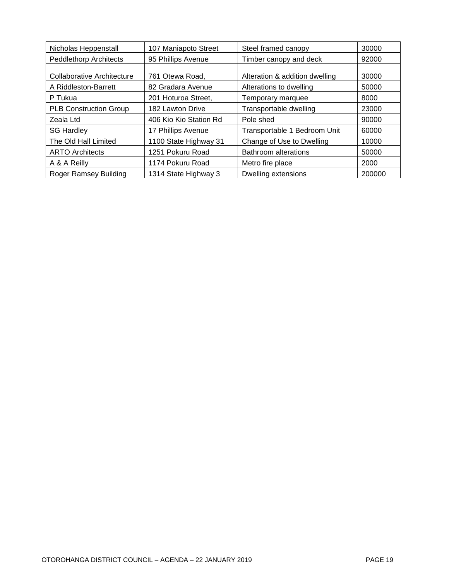| Nicholas Heppenstall          | 107 Maniapoto Street   | Steel framed canopy            | 30000  |
|-------------------------------|------------------------|--------------------------------|--------|
| <b>Peddlethorp Architects</b> | 95 Phillips Avenue     | Timber canopy and deck         | 92000  |
| Collaborative Architecture    | 761 Otewa Road,        | Alteration & addition dwelling | 30000  |
| A Riddleston-Barrett          | 82 Gradara Avenue      | Alterations to dwelling        | 50000  |
| P Tukua                       | 201 Hoturoa Street,    | Temporary marquee              | 8000   |
| <b>PLB Construction Group</b> | 182 Lawton Drive       | Transportable dwelling         | 23000  |
| Zeala Ltd                     | 406 Kio Kio Station Rd | Pole shed                      | 90000  |
| <b>SG Hardley</b>             | 17 Phillips Avenue     | Transportable 1 Bedroom Unit   | 60000  |
| The Old Hall Limited          | 1100 State Highway 31  | Change of Use to Dwelling      | 10000  |
| <b>ARTO Architects</b>        | 1251 Pokuru Road       | <b>Bathroom alterations</b>    | 50000  |
| A & A Reilly                  | 1174 Pokuru Road       | Metro fire place               | 2000   |
| Roger Ramsey Building         | 1314 State Highway 3   | Dwelling extensions            | 200000 |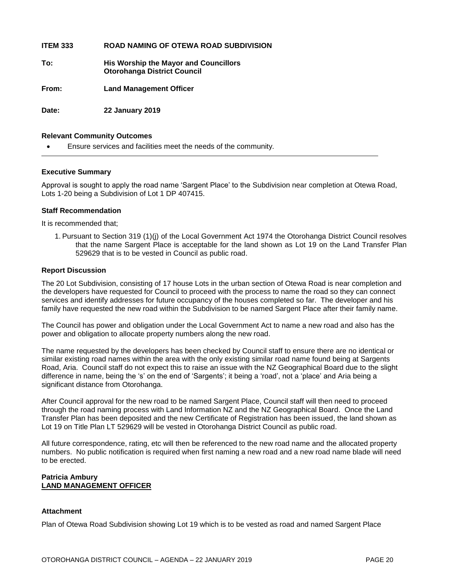**ITEM 333 ROAD NAMING OF OTEWA ROAD SUBDIVISION**

**To: His Worship the Mayor and Councillors Otorohanga District Council**

**From: Land Management Officer**

**Date: 22 January 2019**

#### **Relevant Community Outcomes**

Ensure services and facilities meet the needs of the community.

#### **Executive Summary**

Approval is sought to apply the road name 'Sargent Place' to the Subdivision near completion at Otewa Road, Lots 1-20 being a Subdivision of Lot 1 DP 407415.

#### **Staff Recommendation**

It is recommended that;

1. Pursuant to Section 319 (1)(j) of the Local Government Act 1974 the Otorohanga District Council resolves that the name Sargent Place is acceptable for the land shown as Lot 19 on the Land Transfer Plan 529629 that is to be vested in Council as public road.

#### **Report Discussion**

The 20 Lot Subdivision, consisting of 17 house Lots in the urban section of Otewa Road is near completion and the developers have requested for Council to proceed with the process to name the road so they can connect services and identify addresses for future occupancy of the houses completed so far. The developer and his family have requested the new road within the Subdivision to be named Sargent Place after their family name.

The Council has power and obligation under the Local Government Act to name a new road and also has the power and obligation to allocate property numbers along the new road.

The name requested by the developers has been checked by Council staff to ensure there are no identical or similar existing road names within the area with the only existing similar road name found being at Sargents Road, Aria. Council staff do not expect this to raise an issue with the NZ Geographical Board due to the slight difference in name, being the 's' on the end of 'Sargents'; it being a 'road', not a 'place' and Aria being a significant distance from Otorohanga.

After Council approval for the new road to be named Sargent Place, Council staff will then need to proceed through the road naming process with Land Information NZ and the NZ Geographical Board. Once the Land Transfer Plan has been deposited and the new Certificate of Registration has been issued, the land shown as Lot 19 on Title Plan LT 529629 will be vested in Otorohanga District Council as public road.

All future correspondence, rating, etc will then be referenced to the new road name and the allocated property numbers. No public notification is required when first naming a new road and a new road name blade will need to be erected.

#### **Patricia Ambury LAND MANAGEMENT OFFICER**

#### **Attachment**

Plan of Otewa Road Subdivision showing Lot 19 which is to be vested as road and named Sargent Place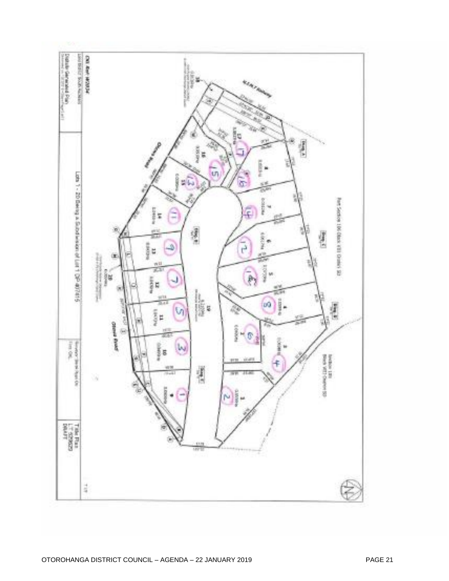